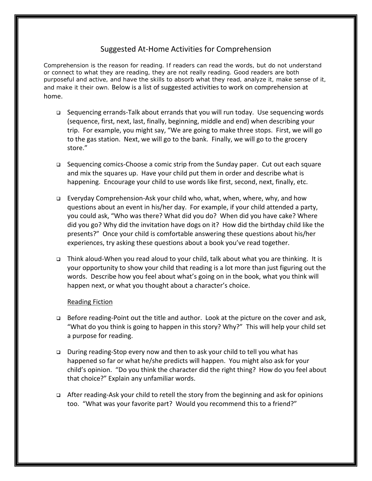## Suggested At-Home Activities for Comprehension

Comprehension is the reason for reading. If readers can read the words, but do not understand or connect to what they are reading, they are not really reading. Good readers are both purposeful and active, and have the skills to absorb what they read, analyze it, make sense of it, and make it their own. Below is a list of suggested activities to work on comprehension at home.

- Sequencing errands-Talk about errands that you will run today. Use sequencing words (sequence, first, next, last, finally, beginning, middle and end) when describing your trip. For example, you might say, "We are going to make three stops. First, we will go to the gas station. Next, we will go to the bank. Finally, we will go to the grocery store."
- Sequencing comics-Choose a comic strip from the Sunday paper. Cut out each square and mix the squares up. Have your child put them in order and describe what is happening. Encourage your child to use words like first, second, next, finally, etc.
- Everyday Comprehension-Ask your child who, what, when, where, why, and how questions about an event in his/her day. For example, if your child attended a party, you could ask, "Who was there? What did you do? When did you have cake? Where did you go? Why did the invitation have dogs on it? How did the birthday child like the presents?" Once your child is comfortable answering these questions about his/her experiences, try asking these questions about a book you've read together.
- Think aloud-When you read aloud to your child, talk about what you are thinking. It is your opportunity to show your child that reading is a lot more than just figuring out the words. Describe how you feel about what's going on in the book, what you think will happen next, or what you thought about a character's choice.

## Reading Fiction

- Before reading-Point out the title and author. Look at the picture on the cover and ask, "What do you think is going to happen in this story? Why?" This will help your child set a purpose for reading.
- During reading-Stop every now and then to ask your child to tell you what has happened so far or what he/she predicts will happen. You might also ask for your child's opinion. "Do you think the character did the right thing? How do you feel about that choice?" Explain any unfamiliar words.
- After reading-Ask your child to retell the story from the beginning and ask for opinions too. "What was your favorite part? Would you recommend this to a friend?"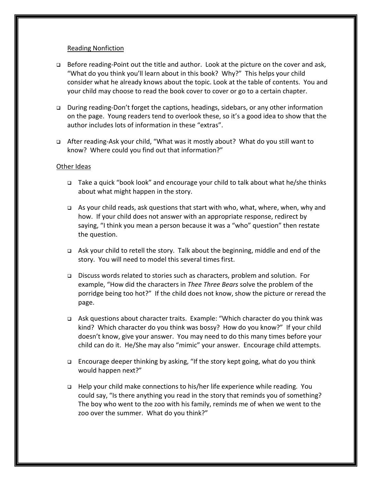## Reading Nonfiction

- Before reading-Point out the title and author. Look at the picture on the cover and ask, "What do you think you'll learn about in this book? Why?" This helps your child consider what he already knows about the topic. Look at the table of contents. You and your child may choose to read the book cover to cover or go to a certain chapter.
- During reading-Don't forget the captions, headings, sidebars, or any other information on the page. Young readers tend to overlook these, so it's a good idea to show that the author includes lots of information in these "extras".
- After reading-Ask your child, "What was it mostly about? What do you still want to know? Where could you find out that information?"

## Other Ideas

- Take a quick "book look" and encourage your child to talk about what he/she thinks about what might happen in the story.
- $\Box$  As your child reads, ask questions that start with who, what, where, when, why and how. If your child does not answer with an appropriate response, redirect by saying, "I think you mean a person because it was a "who" question" then restate the question.
- Ask your child to retell the story. Talk about the beginning, middle and end of the story. You will need to model this several times first.
- Discuss words related to stories such as characters, problem and solution. For example, "How did the characters in *Thee Three Bears* solve the problem of the porridge being too hot?" If the child does not know, show the picture or reread the page.
- Ask questions about character traits. Example: "Which character do you think was kind? Which character do you think was bossy? How do you know?" If your child doesn't know, give your answer. You may need to do this many times before your child can do it. He/She may also "mimic" your answer. Encourage child attempts.
- □ Encourage deeper thinking by asking, "If the story kept going, what do you think would happen next?"
- Help your child make connections to his/her life experience while reading. You could say, "Is there anything you read in the story that reminds you of something? The boy who went to the zoo with his family, reminds me of when we went to the zoo over the summer. What do you think?"